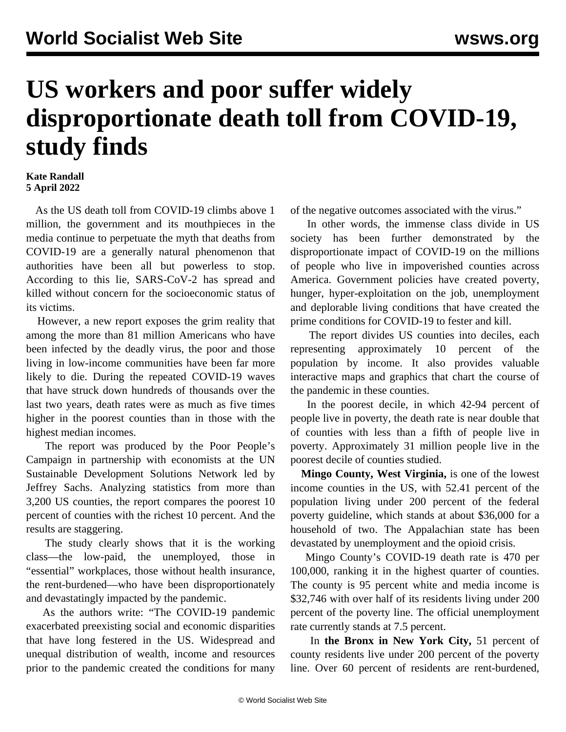## **US workers and poor suffer widely disproportionate death toll from COVID-19, study finds**

## **Kate Randall 5 April 2022**

 As the US death toll from COVID-19 climbs above 1 million, the government and its mouthpieces in the media continue to perpetuate the myth that deaths from COVID-19 are a generally natural phenomenon that authorities have been all but powerless to stop. According to this lie, SARS-CoV-2 has spread and killed without concern for the socioeconomic status of its victims.

 However, a new report exposes the grim reality that among the more than 81 million Americans who have been infected by the deadly virus, the poor and those living in low-income communities have been far more likely to die. During the repeated COVID-19 waves that have struck down hundreds of thousands over the last two years, death rates were as much as five times higher in the poorest counties than in those with the highest median incomes.

 The report was produced by the Poor People's Campaign in partnership with economists at the UN Sustainable Development Solutions Network led by Jeffrey Sachs. Analyzing statistics from more than 3,200 US counties, the report compares the poorest 10 percent of counties with the richest 10 percent. And the results are staggering.

 The study clearly shows that it is the working class—the low-paid, the unemployed, those in "essential" workplaces, those without health insurance, the rent-burdened—who have been disproportionately and devastatingly impacted by the pandemic.

 As the authors write: "The COVID-19 pandemic exacerbated preexisting social and economic disparities that have long festered in the US. Widespread and unequal distribution of wealth, income and resources prior to the pandemic created the conditions for many of the negative outcomes associated with the virus."

 In other words, the immense class divide in US society has been further demonstrated by the disproportionate impact of COVID-19 on the millions of people who live in impoverished counties across America. Government policies have created poverty, hunger, hyper-exploitation on the job, unemployment and deplorable living conditions that have created the prime conditions for COVID-19 to fester and kill.

 The [report](https://www.poorpeoplescampaign.org/pandemic-report/) divides US counties into deciles, each representing approximately 10 percent of the population by income. It also provides valuable [interactive maps](https://storymaps.arcgis.com/stories/fee7360f2a5242d5b62a8234da08dcd0) and graphics that chart the course of the pandemic in these counties.

 In the poorest decile, in which 42-94 percent of people live in poverty, the death rate is near double that of counties with less than a fifth of people live in poverty. Approximately 31 million people live in the poorest decile of counties studied.

 **Mingo County, West Virginia,** is one of the lowest income counties in the US, with 52.41 percent of the population living under 200 percent of the federal poverty guideline, which stands at about \$36,000 for a household of two. The Appalachian state has been devastated by unemployment and the opioid crisis.

 Mingo County's COVID-19 death rate is 470 per 100,000, ranking it in the highest quarter of counties. The county is 95 percent white and media income is \$32,746 with over half of its residents living under 200 percent of the poverty line. The official unemployment rate currently stands at 7.5 percent.

 In **the Bronx in New York City,** 51 percent of county residents live under 200 percent of the poverty line. Over 60 percent of residents are rent-burdened,